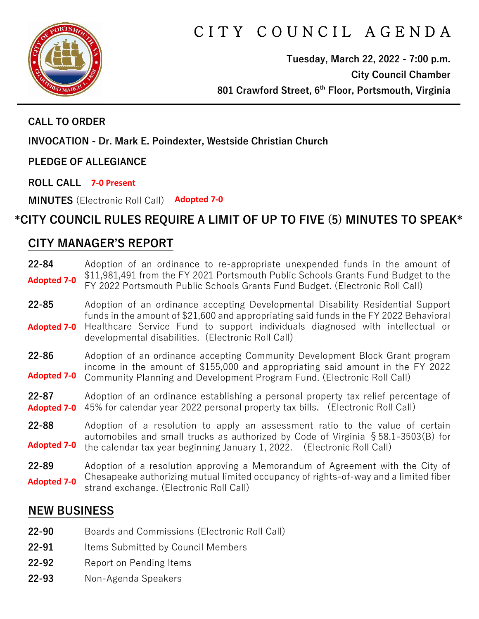

# CITY COUNCIL AGENDA

**Tuesday, March 22, 2022 - 7:00 p.m. City Council Chamber 801 Crawford Street, 6th Floor, Portsmouth, Virginia**

#### **CALL TO ORDER**

**INVOCATION - Dr. Mark E. Poindexter, Westside Christian Church** 

**PLEDGE OF ALLEGIANCE** 

**ROLL CALL 7-0 Present**

**MINUTES** (Electronic Roll Call) **Adopted 7-0**

## **\*CITY COUNCIL RULES REQUIRE A LIMIT OF UP TO FIVE (5) MINUTES TO SPEAK\***

#### **CITY MANAGER'S REPORT**

**22-84** Adoption of an ordinance to re-appropriate unexpended funds in the amount of \$11,981,491 from the FY 2021 Portsmouth Public Schools Grants Fund Budget to the FY 2022 Portsmouth Public Schools Grants Fund Budget. (Electronic Roll Call) **Adopted 7-0**

**22-85** Adoption of an ordinance accepting Developmental Disability Residential Support funds in the amount of \$21,600 and appropriating said funds in the FY 2022 Behavioral Healthcare Service Fund to support individuals diagnosed with intellectual or developmental disabilities. (Electronic Roll Call) **Adopted 7-0**

**22-86** Adoption of an ordinance accepting Community Development Block Grant program income in the amount of \$155,000 and appropriating said amount in the FY 2022 Community Planning and Development Program Fund. (Electronic Roll Call) **Adopted 7-0**

**22-87** Adoption of an ordinance establishing a personal property tax relief percentage of 45% for calendar year 2022 personal property tax bills. (Electronic Roll Call) **Adopted 7-0**

**22-88** Adoption of a resolution to apply an assessment ratio to the value of certain automobiles and small trucks as authorized by Code of Virginia §58.1-3503(B) for the calendar tax year beginning January 1, 2022. (Electronic Roll Call) **Adopted 7-0**

**22-89** Adoption of a resolution approving a Memorandum of Agreement with the City of Chesapeake authorizing mutual limited occupancy of rights-of-way and a limited fiber strand exchange. (Electronic Roll Call) **Adopted 7-0**

## **NEW BUSINESS**

- **22-90** Boards and Commissions (Electronic Roll Call)
- 22-91 Items Submitted by Council Members
- **22-92** Report on Pending Items
- **22-93** Non-Agenda Speakers